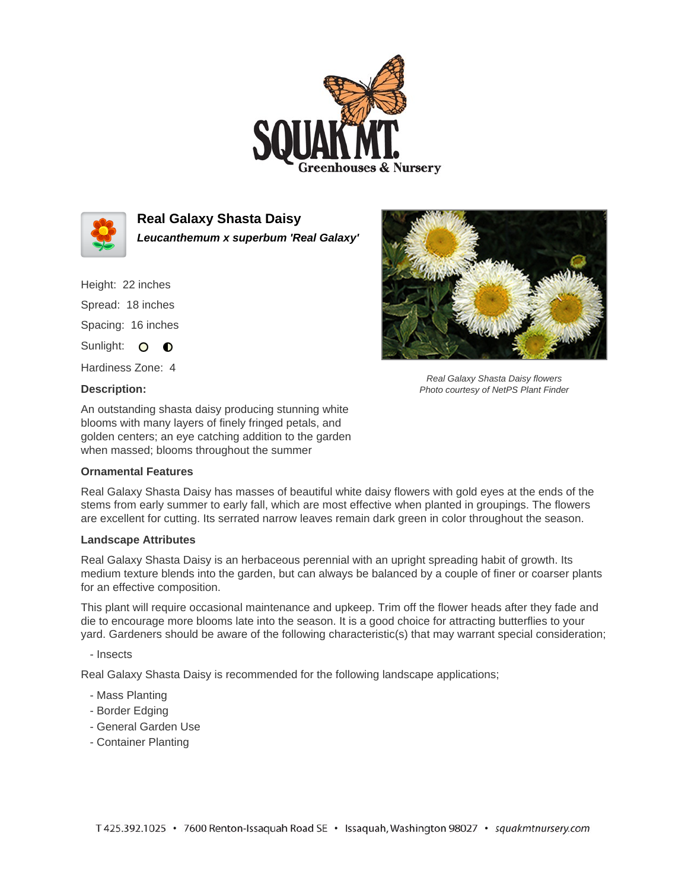



**Real Galaxy Shasta Daisy Leucanthemum x superbum 'Real Galaxy'**

Height: 22 inches Spread: 18 inches Spacing: 16 inches Sunlight: O **O** 

Hardiness Zone: 4

## **Description:**



Real Galaxy Shasta Daisy flowers Photo courtesy of NetPS Plant Finder

An outstanding shasta daisy producing stunning white blooms with many layers of finely fringed petals, and golden centers; an eye catching addition to the garden when massed; blooms throughout the summer

## **Ornamental Features**

Real Galaxy Shasta Daisy has masses of beautiful white daisy flowers with gold eyes at the ends of the stems from early summer to early fall, which are most effective when planted in groupings. The flowers are excellent for cutting. Its serrated narrow leaves remain dark green in color throughout the season.

## **Landscape Attributes**

Real Galaxy Shasta Daisy is an herbaceous perennial with an upright spreading habit of growth. Its medium texture blends into the garden, but can always be balanced by a couple of finer or coarser plants for an effective composition.

This plant will require occasional maintenance and upkeep. Trim off the flower heads after they fade and die to encourage more blooms late into the season. It is a good choice for attracting butterflies to your yard. Gardeners should be aware of the following characteristic(s) that may warrant special consideration;

- Insects

Real Galaxy Shasta Daisy is recommended for the following landscape applications;

- Mass Planting
- Border Edging
- General Garden Use
- Container Planting